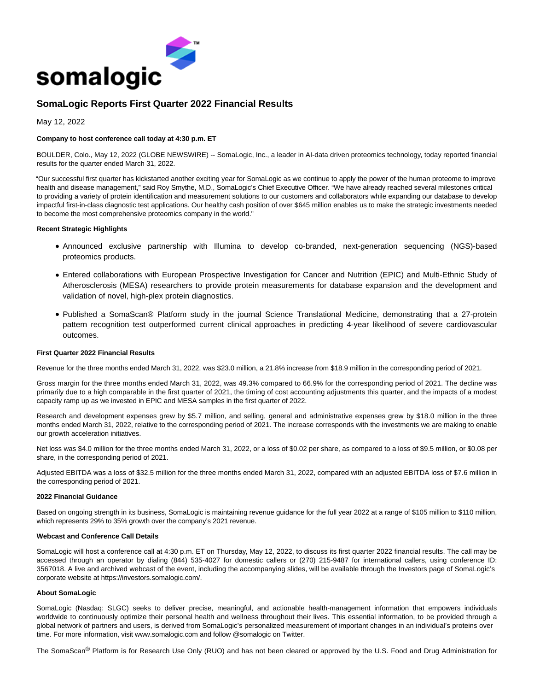

# **SomaLogic Reports First Quarter 2022 Financial Results**

May 12, 2022

# **Company to host conference call today at 4:30 p.m. ET**

BOULDER, Colo., May 12, 2022 (GLOBE NEWSWIRE) -- SomaLogic, Inc., a leader in AI-data driven proteomics technology, today reported financial results for the quarter ended March 31, 2022.

"Our successful first quarter has kickstarted another exciting year for SomaLogic as we continue to apply the power of the human proteome to improve health and disease management," said Roy Smythe, M.D., SomaLogic's Chief Executive Officer. "We have already reached several milestones critical to providing a variety of protein identification and measurement solutions to our customers and collaborators while expanding our database to develop impactful first-in-class diagnostic test applications. Our healthy cash position of over \$645 million enables us to make the strategic investments needed to become the most comprehensive proteomics company in the world."

# **Recent Strategic Highlights**

- Announced exclusive partnership with Illumina to develop co-branded, next-generation sequencing (NGS)-based proteomics products.
- Entered collaborations with European Prospective Investigation for Cancer and Nutrition (EPIC) and Multi-Ethnic Study of Atherosclerosis (MESA) researchers to provide protein measurements for database expansion and the development and validation of novel, high-plex protein diagnostics.
- Published a SomaScan® Platform study in the journal Science Translational Medicine, demonstrating that a 27-protein pattern recognition test outperformed current clinical approaches in predicting 4-year likelihood of severe cardiovascular outcomes.

#### **First Quarter 2022 Financial Results**

Revenue for the three months ended March 31, 2022, was \$23.0 million, a 21.8% increase from \$18.9 million in the corresponding period of 2021.

Gross margin for the three months ended March 31, 2022, was 49.3% compared to 66.9% for the corresponding period of 2021. The decline was primarily due to a high comparable in the first quarter of 2021, the timing of cost accounting adjustments this quarter, and the impacts of a modest capacity ramp up as we invested in EPIC and MESA samples in the first quarter of 2022.

Research and development expenses grew by \$5.7 million, and selling, general and administrative expenses grew by \$18.0 million in the three months ended March 31, 2022, relative to the corresponding period of 2021. The increase corresponds with the investments we are making to enable our growth acceleration initiatives.

Net loss was \$4.0 million for the three months ended March 31, 2022, or a loss of \$0.02 per share, as compared to a loss of \$9.5 million, or \$0.08 per share, in the corresponding period of 2021.

Adjusted EBITDA was a loss of \$32.5 million for the three months ended March 31, 2022, compared with an adjusted EBITDA loss of \$7.6 million in the corresponding period of 2021.

#### **2022 Financial Guidance**

Based on ongoing strength in its business, SomaLogic is maintaining revenue guidance for the full year 2022 at a range of \$105 million to \$110 million, which represents 29% to 35% growth over the company's 2021 revenue.

#### **Webcast and Conference Call Details**

SomaLogic will host a conference call at 4:30 p.m. ET on Thursday, May 12, 2022, to discuss its first quarter 2022 financial results. The call may be accessed through an operator by dialing (844) 535-4027 for domestic callers or (270) 215-9487 for international callers, using conference ID: 3567018. A live and archived webcast of the event, including the accompanying slides, will be available through the Investors page of SomaLogic's corporate website at https://investors.somalogic.com/.

#### **About SomaLogic**

SomaLogic (Nasdaq: SLGC) seeks to deliver precise, meaningful, and actionable health-management information that empowers individuals worldwide to continuously optimize their personal health and wellness throughout their lives. This essential information, to be provided through a global network of partners and users, is derived from SomaLogic's personalized measurement of important changes in an individual's proteins over time. For more information, visit www.somalogic.com and follow @somalogic on Twitter.

The SomaScan® Platform is for Research Use Only (RUO) and has not been cleared or approved by the U.S. Food and Drug Administration for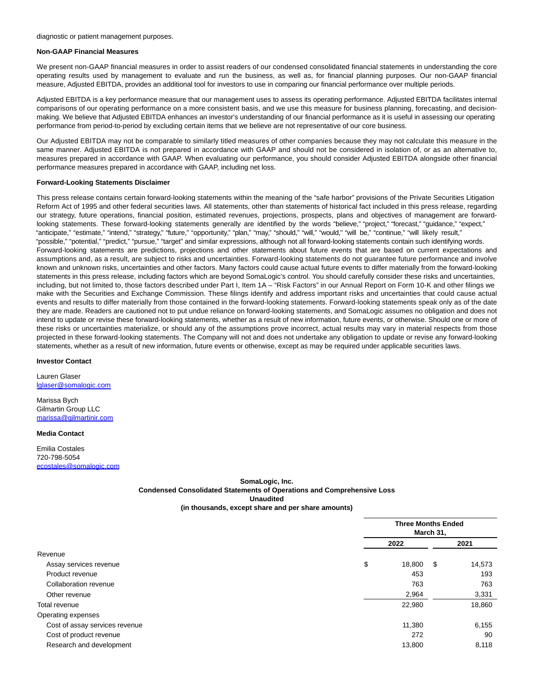diagnostic or patient management purposes.

## **Non-GAAP Financial Measures**

We present non-GAAP financial measures in order to assist readers of our condensed consolidated financial statements in understanding the core operating results used by management to evaluate and run the business, as well as, for financial planning purposes. Our non-GAAP financial measure, Adjusted EBITDA, provides an additional tool for investors to use in comparing our financial performance over multiple periods.

Adjusted EBITDA is a key performance measure that our management uses to assess its operating performance. Adjusted EBITDA facilitates internal comparisons of our operating performance on a more consistent basis, and we use this measure for business planning, forecasting, and decisionmaking. We believe that Adjusted EBITDA enhances an investor's understanding of our financial performance as it is useful in assessing our operating performance from period-to-period by excluding certain items that we believe are not representative of our core business.

Our Adjusted EBITDA may not be comparable to similarly titled measures of other companies because they may not calculate this measure in the same manner. Adjusted EBITDA is not prepared in accordance with GAAP and should not be considered in isolation of, or as an alternative to, measures prepared in accordance with GAAP. When evaluating our performance, you should consider Adjusted EBITDA alongside other financial performance measures prepared in accordance with GAAP, including net loss.

## **Forward-Looking Statements Disclaimer**

This press release contains certain forward-looking statements within the meaning of the "safe harbor" provisions of the Private Securities Litigation Reform Act of 1995 and other federal securities laws. All statements, other than statements of historical fact included in this press release, regarding our strategy, future operations, financial position, estimated revenues, projections, prospects, plans and objectives of management are forwardlooking statements. These forward-looking statements generally are identified by the words "believe," "project," "forecast," "guidance," "expect," "anticipate," "estimate," "intend," "strategy," "future," "opportunity," "plan," "may," "should," "will," "would," "will be," "continue," "will likely result," "possible," "potential," "predict," "pursue," "target" and similar expressions, although not all forward-looking statements contain such identifying words. Forward-looking statements are predictions, projections and other statements about future events that are based on current expectations and assumptions and, as a result, are subject to risks and uncertainties. Forward-looking statements do not guarantee future performance and involve known and unknown risks, uncertainties and other factors. Many factors could cause actual future events to differ materially from the forward-looking statements in this press release, including factors which are beyond SomaLogic's control. You should carefully consider these risks and uncertainties, including, but not limited to, those factors described under Part I, Item 1A – "Risk Factors" in our Annual Report on Form 10-K and other filings we make with the Securities and Exchange Commission. These filings identify and address important risks and uncertainties that could cause actual events and results to differ materially from those contained in the forward-looking statements. Forward-looking statements speak only as of the date they are made. Readers are cautioned not to put undue reliance on forward-looking statements, and SomaLogic assumes no obligation and does not intend to update or revise these forward-looking statements, whether as a result of new information, future events, or otherwise. Should one or more of these risks or uncertainties materialize, or should any of the assumptions prove incorrect, actual results may vary in material respects from those projected in these forward-looking statements. The Company will not and does not undertake any obligation to update or revise any forward-looking statements, whether as a result of new information, future events or otherwise, except as may be required under applicable securities laws.

#### **Investor Contact**

Lauren Glaser [lglaser@somalogic.com](https://www.globenewswire.com/Tracker?data=aigjoNTuHE0ZjwjsH953DqYOWmUDCOfbNXiIsFo2NQuVv6l9aOOCoraKgQHFcWS7upHdbU8zAexpUxkFA61zxc3-ivxY9X0fuFqi4Dh5uZ4=)

Marissa Bych Gilmartin Group LLC [marissa@gilmartinir.com](https://www.globenewswire.com/Tracker?data=vi1p1XTwly2tm__HjJZLzTGmBlYQ9TUtwTWR1fgeSmAJBTiw_7xzIHEW877nNU_IJhgDu_jylqegSKu-oWAZUVYeue4O511yvNSswjrBXGY=)

# **Media Contact**

Emilia Costales 720-798-5054 [ecostales@somalogic.com](https://www.globenewswire.com/Tracker?data=XYbvfS204G-MBDyjf7meWYrQGsnSkieyL-yxvbfo5516nv7_ux5JBAVFL4fAtvNEL4r7KhpGD273Ir4rTc4_CYEUgSfpe4UioIwPK87p2LQ=)

# **SomaLogic, Inc. Condensed Consolidated Statements of Operations and Comprehensive Loss Unaudited (in thousands, except share and per share amounts)**

|                                | <b>Three Months Ended</b><br>March 31, |      |        |
|--------------------------------|----------------------------------------|------|--------|
|                                | 2022                                   |      | 2021   |
| Revenue                        |                                        |      |        |
| Assay services revenue         | \$<br>18,800                           | - \$ | 14,573 |
| Product revenue                | 453                                    |      | 193    |
| Collaboration revenue          | 763                                    |      | 763    |
| Other revenue                  | 2,964                                  |      | 3,331  |
| Total revenue                  | 22,980                                 |      | 18,860 |
| Operating expenses             |                                        |      |        |
| Cost of assay services revenue | 11,380                                 |      | 6,155  |
| Cost of product revenue        | 272                                    |      | 90     |
| Research and development       | 13,800                                 |      | 8,118  |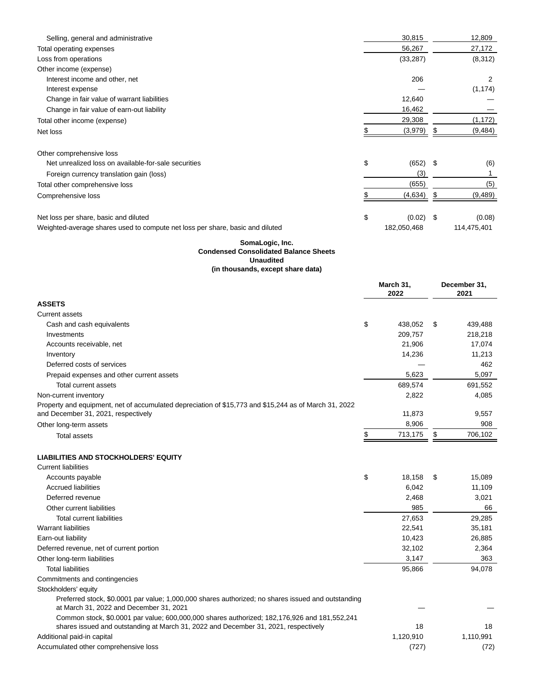| Selling, general and administrative                                           | 30,815 |             |      | 12,809      |  |
|-------------------------------------------------------------------------------|--------|-------------|------|-------------|--|
| Total operating expenses                                                      |        | 56,267      |      | 27,172      |  |
| Loss from operations                                                          |        | (33, 287)   |      | (8,312)     |  |
| Other income (expense)                                                        |        |             |      |             |  |
| Interest income and other, net                                                |        | 206         |      | 2           |  |
| Interest expense                                                              |        |             |      | (1, 174)    |  |
| Change in fair value of warrant liabilities                                   |        | 12,640      |      |             |  |
| Change in fair value of earn-out liability                                    | 16,462 |             |      |             |  |
| Total other income (expense)                                                  |        | 29,308      |      | (1, 172)    |  |
| Net loss                                                                      |        | (3,979)     |      | (9, 484)    |  |
| Other comprehensive loss                                                      |        |             |      |             |  |
| Net unrealized loss on available-for-sale securities                          | \$     | (652)       | - \$ | (6)         |  |
| Foreign currency translation gain (loss)                                      |        | (3)         |      |             |  |
| Total other comprehensive loss                                                |        | (655)       |      | (5)         |  |
| Comprehensive loss                                                            |        | (4,634)     |      | (9, 489)    |  |
| Net loss per share, basic and diluted                                         | \$     | (0.02)      | - \$ | (0.08)      |  |
| Weighted-average shares used to compute net loss per share, basic and diluted |        | 182,050,468 |      | 114,475,401 |  |

## **SomaLogic, Inc. Condensed Consolidated Balance Sheets Unaudited (in thousands, except share data)**

|                                                                                                       | March 31,<br>2022 |    | December 31,<br>2021 |  |
|-------------------------------------------------------------------------------------------------------|-------------------|----|----------------------|--|
| <b>ASSETS</b>                                                                                         |                   |    |                      |  |
| <b>Current assets</b>                                                                                 |                   |    |                      |  |
| Cash and cash equivalents                                                                             | \$<br>438,052     | \$ | 439,488              |  |
| Investments                                                                                           | 209,757           |    | 218,218              |  |
| Accounts receivable, net                                                                              | 21,906            |    | 17,074               |  |
| Inventory                                                                                             | 14,236            |    | 11,213               |  |
| Deferred costs of services                                                                            |                   |    | 462                  |  |
| Prepaid expenses and other current assets                                                             | 5,623             |    | 5,097                |  |
| Total current assets                                                                                  | 689,574           |    | 691,552              |  |
| Non-current inventory                                                                                 | 2,822             |    | 4,085                |  |
| Property and equipment, net of accumulated depreciation of \$15,773 and \$15,244 as of March 31, 2022 |                   |    |                      |  |
| and December 31, 2021, respectively                                                                   | 11,873            |    | 9,557                |  |
| Other long-term assets                                                                                | 8,906             |    | 908                  |  |
| <b>Total assets</b>                                                                                   | \$<br>713,175     | \$ | 706,102              |  |
| <b>LIABILITIES AND STOCKHOLDERS' EQUITY</b>                                                           |                   |    |                      |  |
| <b>Current liabilities</b>                                                                            |                   |    |                      |  |
| Accounts payable                                                                                      | \$<br>18,158      | S  | 15,089               |  |
| <b>Accrued liabilities</b>                                                                            | 6,042             |    | 11,109               |  |
| Deferred revenue                                                                                      | 2,468             |    | 3,021                |  |
| Other current liabilities                                                                             | 985               |    | 66                   |  |
| <b>Total current liabilities</b>                                                                      | 27,653            |    | 29,285               |  |
| <b>Warrant liabilities</b>                                                                            | 22,541            |    | 35,181               |  |
| Earn-out liability                                                                                    | 10,423            |    | 26,885               |  |
| Deferred revenue, net of current portion                                                              | 32,102            |    | 2,364                |  |
| Other long-term liabilities                                                                           | 3,147             |    | 363                  |  |
| <b>Total liabilities</b>                                                                              | 95,866            |    | 94,078               |  |
| Commitments and contingencies                                                                         |                   |    |                      |  |
| Stockholders' equity                                                                                  |                   |    |                      |  |
| Preferred stock, \$0.0001 par value; 1,000,000 shares authorized; no shares issued and outstanding    |                   |    |                      |  |

at March 31, 2022 and December 31, 2021 — —

Common stock, \$0.0001 par value; 600,000,000 shares authorized; 182,176,926 and 181,552,241 shares issued and outstanding at March 31, 2022 and December 31, 2021, respectively 18 18 18 Additional paid-in capital 1,110,991 1,120,910 1,120,910

Accumulated other comprehensive loss (72) (72) (72)